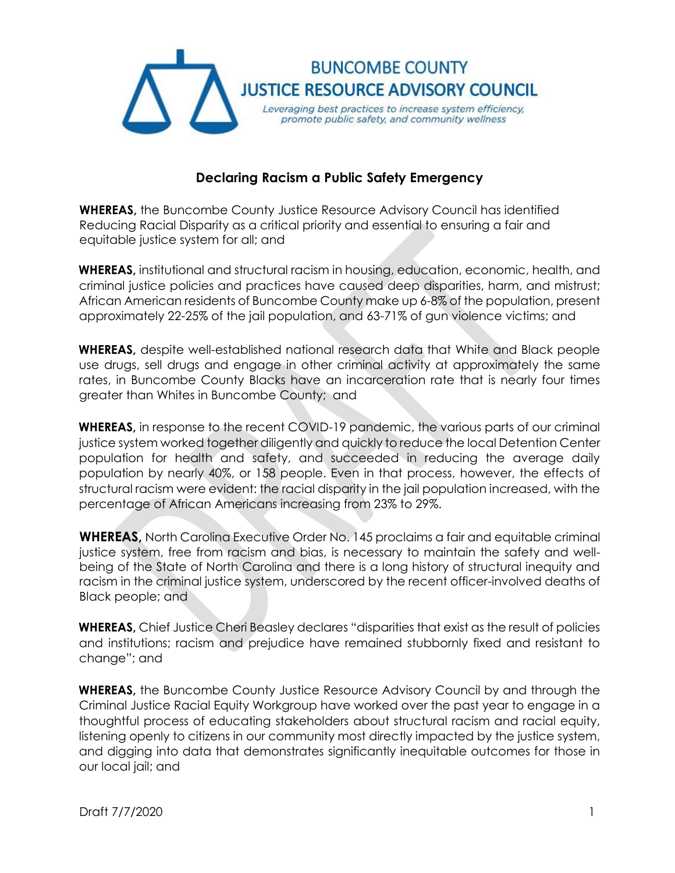

## **Declaring Racism a Public Safety Emergency**

**WHEREAS,** the Buncombe County Justice Resource Advisory Council has identified Reducing Racial Disparity as a critical priority and essential to ensuring a fair and equitable justice system for all; and

**WHEREAS,** institutional and structural racism in housing, education, economic, health, and criminal justice policies and practices have caused deep disparities, harm, and mistrust; African American residents of Buncombe County make up 6-8% of the population, present approximately 22-25% of the jail population, and 63-71% of gun violence victims; and

**WHEREAS,** despite well-established national research data that White and Black people use drugs, sell drugs and engage in other criminal activity at approximately the same rates, in Buncombe County Blacks have an incarceration rate that is nearly four times greater than Whites in Buncombe County; and

**WHEREAS,** in response to the recent COVID-19 pandemic, the various parts of our criminal justice system worked together diligently and quickly to reduce the local Detention Center population for health and safety, and succeeded in reducing the average daily population by nearly 40%, or 158 people. Even in that process, however, the effects of structural racism were evident: the racial disparity in the jail population increased, with the percentage of African Americans increasing from 23% to 29%.

**WHEREAS,** North Carolina Executive Order No. 145 proclaims a fair and equitable criminal justice system, free from racism and bias, is necessary to maintain the safety and wellbeing of the State of North Carolina and there is a long history of structural inequity and racism in the criminal justice system, underscored by the recent officer-involved deaths of Black people; and

**WHEREAS,** Chief Justice Cheri Beasley declares "disparities that exist as the result of policies and institutions; racism and prejudice have remained stubbornly fixed and resistant to change"; and

**WHEREAS,** the Buncombe County Justice Resource Advisory Council by and through the Criminal Justice Racial Equity Workgroup have worked over the past year to engage in a thoughtful process of educating stakeholders about structural racism and racial equity, listening openly to citizens in our community most directly impacted by the justice system, and digging into data that demonstrates significantly inequitable outcomes for those in our local jail; and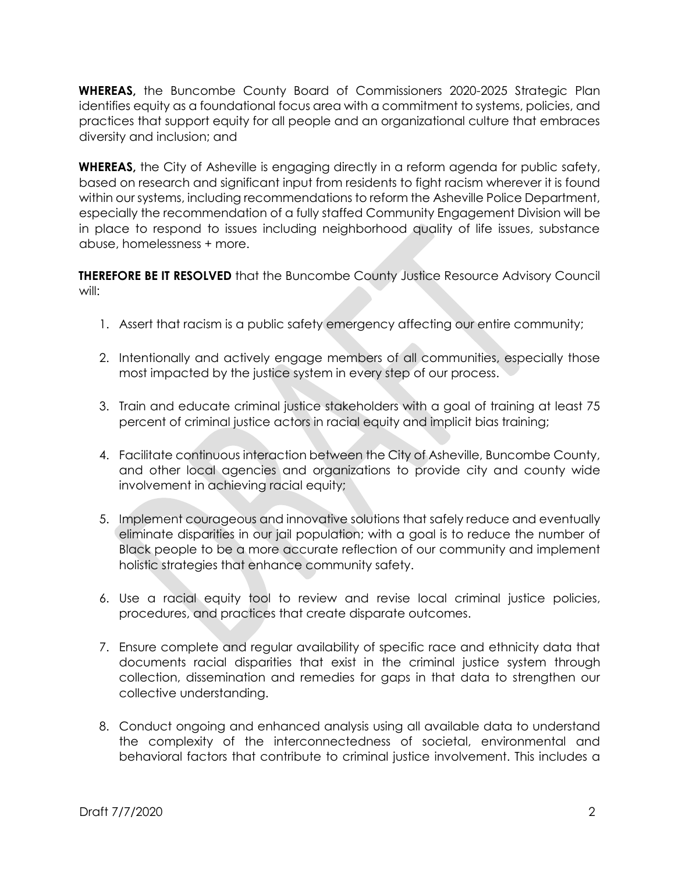**WHEREAS,** the Buncombe County Board of Commissioners 2020-2025 Strategic Plan identifies equity as a foundational focus area with a commitment to systems, policies, and practices that support equity for all people and an organizational culture that embraces diversity and inclusion; and

**WHEREAS,** the City of Asheville is engaging directly in a reform agenda for public safety, based on research and significant input from residents to fight racism wherever it is found within our systems, including recommendations to reform the Asheville Police Department, especially the recommendation of a fully staffed Community Engagement Division will be in place to respond to issues including neighborhood quality of life issues, substance abuse, homelessness + more.

**THEREFORE BE IT RESOLVED** that the Buncombe County Justice Resource Advisory Council will:

- 1. Assert that racism is a public safety emergency affecting our entire community;
- 2. Intentionally and actively engage members of all communities, especially those most impacted by the justice system in every step of our process.
- 3. Train and educate criminal justice stakeholders with a goal of training at least 75 percent of criminal justice actors in racial equity and implicit bias training;
- 4. Facilitate continuous interaction between the City of Asheville, Buncombe County, and other local agencies and organizations to provide city and county wide involvement in achieving racial equity;
- 5. Implement courageous and innovative solutions that safely reduce and eventually eliminate disparities in our jail population; with a goal is to reduce the number of Black people to be a more accurate reflection of our community and implement holistic strategies that enhance community safety.
- 6. Use a racial equity tool to review and revise local criminal justice policies, procedures, and practices that create disparate outcomes.
- 7. Ensure complete and regular availability of specific race and ethnicity data that documents racial disparities that exist in the criminal justice system through collection, dissemination and remedies for gaps in that data to strengthen our collective understanding.
- 8. Conduct ongoing and enhanced analysis using all available data to understand the complexity of the interconnectedness of societal, environmental and behavioral factors that contribute to criminal justice involvement. This includes a